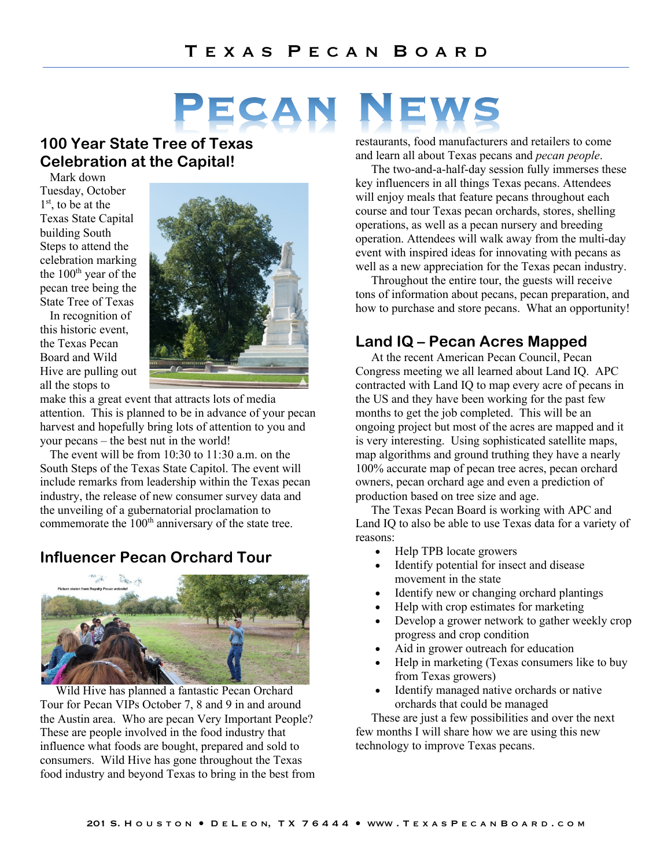# PECAN

## **100 Year State Tree of Texas Celebration at the Capital!**

Mark down Tuesday, October  $1<sup>st</sup>$ , to be at the Texas State Capital building South Steps to attend the celebration marking the  $100<sup>th</sup>$  year of the pecan tree being the State Tree of Texas

In recognition of this historic event, the Texas Pecan Board and Wild Hive are pulling out all the stops to



make this a great event that attracts lots of media attention. This is planned to be in advance of your pecan harvest and hopefully bring lots of attention to you and your pecans – the best nut in the world!

The event will be from 10:30 to 11:30 a.m. on the South Steps of the Texas State Capitol. The event will include remarks from leadership within the Texas pecan industry, the release of new consumer survey data and the unveiling of a gubernatorial proclamation to commemorate the 100<sup>th</sup> anniversary of the state tree.

# **Influencer Pecan Orchard Tour**



Wild Hive has planned a fantastic Pecan Orchard Tour for Pecan VIPs October 7, 8 and 9 in and around the Austin area. Who are pecan Very Important People? These are people involved in the food industry that influence what foods are bought, prepared and sold to consumers. Wild Hive has gone throughout the Texas food industry and beyond Texas to bring in the best from restaurants, food manufacturers and retailers to come and learn all about Texas pecans and *pecan people*.

The two-and-a-half-day session fully immerses these key influencers in all things Texas pecans. Attendees will enjoy meals that feature pecans throughout each course and tour Texas pecan orchards, stores, shelling operations, as well as a pecan nursery and breeding operation. Attendees will walk away from the multi-day event with inspired ideas for innovating with pecans as well as a new appreciation for the Texas pecan industry.

Throughout the entire tour, the guests will receive tons of information about pecans, pecan preparation, and how to purchase and store pecans. What an opportunity!

## **Land IQ – Pecan Acres Mapped**

At the recent American Pecan Council, Pecan Congress meeting we all learned about Land IQ. APC contracted with Land IQ to map every acre of pecans in the US and they have been working for the past few months to get the job completed. This will be an ongoing project but most of the acres are mapped and it is very interesting. Using sophisticated satellite maps, map algorithms and ground truthing they have a nearly 100% accurate map of pecan tree acres, pecan orchard owners, pecan orchard age and even a prediction of production based on tree size and age.

The Texas Pecan Board is working with APC and Land IQ to also be able to use Texas data for a variety of reasons:

- Help TPB locate growers
- Identify potential for insect and disease movement in the state
- Identify new or changing orchard plantings
- Help with crop estimates for marketing
- Develop a grower network to gather weekly crop progress and crop condition
- Aid in grower outreach for education
- Help in marketing (Texas consumers like to buy from Texas growers)
- Identify managed native orchards or native orchards that could be managed

These are just a few possibilities and over the next few months I will share how we are using this new technology to improve Texas pecans.